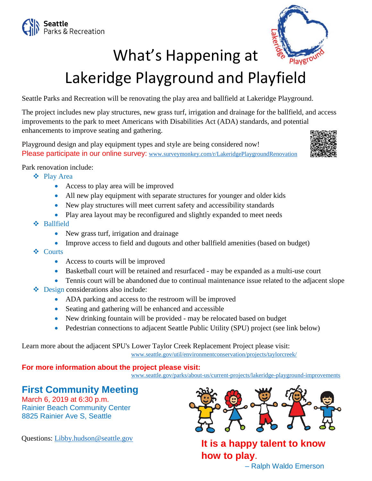



## What's Happening at

## Lakeridge Playground and Playfield

Seattle Parks and Recreation will be renovating the play area and ballfield at Lakeridge Playground.

The project includes new play structures, new grass turf, irrigation and drainage for the ballfield, and access improvements to the park to meet Americans with Disabilities Act (ADA) standards, and potential enhancements to improve seating and gathering.

Playground design and play equipment types and style are being considered now! Please participate in our online survey: [www.surveymonkey.com/r/LakeridgePlaygroundRenovation](http://www.surveymonkey.com/r/LakeridgePlaygroundRenovation)



Park renovation include:

- Play Area
	- Access to play area will be improved
	- All new play equipment with separate structures for younger and older kids
	- New play structures will meet current safety and accessibility standards
	- Play area layout may be reconfigured and slightly expanded to meet needs
- Ballfield
	- New grass turf, irrigation and drainage
	- Improve access to field and dugouts and other ballfield amenities (based on budget)
- **❖** Courts
	- Access to courts will be improved
	- Basketball court will be retained and resurfaced may be expanded as a multi-use court
	- Tennis court will be abandoned due to continual maintenance issue related to the adjacent slope
- ❖ Design considerations also include:
	- ADA parking and access to the restroom will be improved
	- Seating and gathering will be enhanced and accessible
	- New drinking fountain will be provided may be relocated based on budget
	- Pedestrian connections to adjacent Seattle Public Utility (SPU) project (see link below)

Learn more about the adjacent SPU's Lower Taylor Creek Replacement Project please visit: [www.seattle.gov/util/environmentconservation/projects/taylorcreek/](http://www.seattle.gov/util/environmentconservation/projects/taylorcreek/)

## **For more information about the project please visit:**

[www.seattle.gov/parks/about-us/current-projects/lakeridge-playground-improvements](http://www.seattle.gov/parks/about-us/current-projects/lakeridge-playground-improvements)

## **First Community Meeting**

March 6, 2019 at 6:30 p.m. Rainier Beach Community Center 8825 Rainier Ave S, Seattle



Questions: [Libby.hudson@seattle.gov](mailto:Libby.hudson@seattle.gov) **It is a happy talent to know how to play**.

– Ralph Waldo Emerson